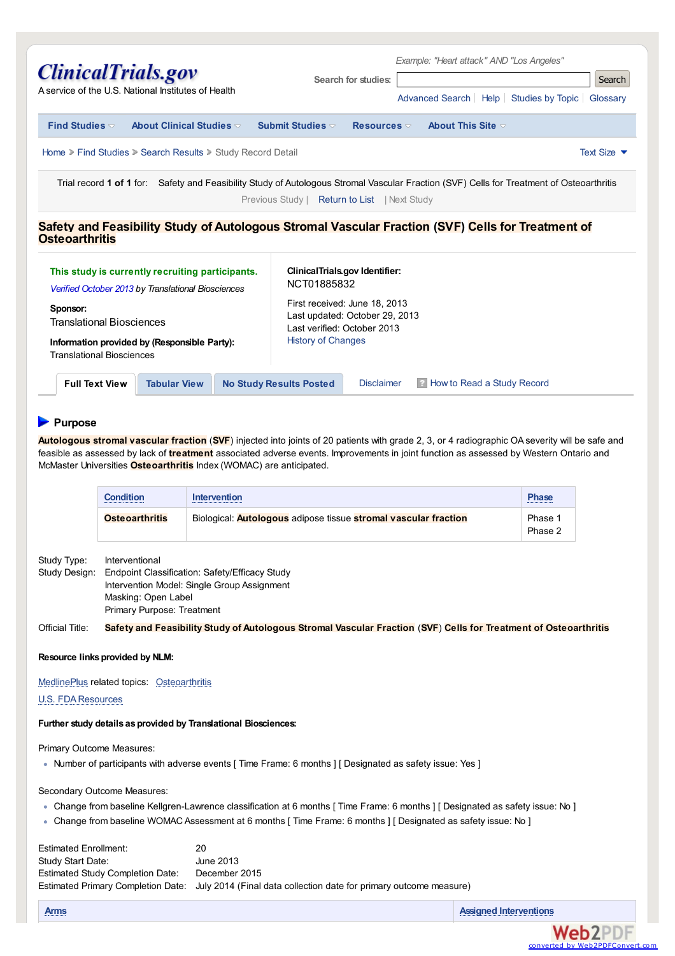| <i><b>ClinicalTrials.gov</b></i><br>A service of the U.S. National Institutes of Health                                                                                                   | Search for studies:                                         | Example: "Heart attack" AND "Los Angeles"<br>Search<br>Advanced Search   Help   Studies by Topic   Glossary |  |  |  |
|-------------------------------------------------------------------------------------------------------------------------------------------------------------------------------------------|-------------------------------------------------------------|-------------------------------------------------------------------------------------------------------------|--|--|--|
| Find Studies $\triangledown$<br>About Clinical Studies $\triangledown$                                                                                                                    | Submit Studies $\triangledown$<br>Resources $\triangledown$ | About This Site $\triangledown$                                                                             |  |  |  |
| Home > Find Studies > Search Results > Study Record Detail<br>Text Size $\blacktriangledown$                                                                                              |                                                             |                                                                                                             |  |  |  |
| Trial record 1 of 1 for: Safety and Feasibility Study of Autologous Stromal Vascular Fraction (SVF) Cells for Treatment of Osteoarthritis<br>Previous Study   Return to List   Next Study |                                                             |                                                                                                             |  |  |  |

### **Safety and Feasibility Study of Autologous Stromal Vascular Fraction (SVF) Cells for Treatment of Osteoarthritis**

| This study is currently recruiting participants.<br>Verified October 2013 by Translational Biosciences<br>Sponsor:<br><b>Translational Biosciences</b><br>Information provided by (Responsible Party):<br><b>Translational Biosciences</b> |                     | NCT01885832<br><b>History of Changes</b> | <b>ClinicalTrials.gov Identifier:</b><br>First received: June 18, 2013<br>Last updated: October 29, 2013<br>Last verified: October 2013 |                                     |  |
|--------------------------------------------------------------------------------------------------------------------------------------------------------------------------------------------------------------------------------------------|---------------------|------------------------------------------|-----------------------------------------------------------------------------------------------------------------------------------------|-------------------------------------|--|
| <b>Full Text View</b>                                                                                                                                                                                                                      | <b>Tabular View</b> | <b>No Study Results Posted</b>           | <b>Disclaimer</b>                                                                                                                       | <b>B</b> How to Read a Study Record |  |

## **Purpose**

**Autologous stromal vascular fraction** (**SVF**) injected into joints of 20 patients with grade 2, 3, or 4 radiographic OA severity will be safe and feasible as assessed by lack of **treatment** associated adverse events. Improvements in joint function as assessed by Western Ontario and McMaster Universities **Osteoarthritis** Index (WOMAC) are anticipated.

| Condition             | Intervention                                                                  | <b>Phase</b>       |
|-----------------------|-------------------------------------------------------------------------------|--------------------|
|                       |                                                                               |                    |
| <b>Osteoarthritis</b> | Biological: <b>Autologous</b> adipose tissue <b>stromal vascular fraction</b> | Phase 1<br>Phase 2 |

Study Type: Interventional Study Design: Endpoint Classification: Safety/Efficacy Study Intervention Model: Single Group Assignment Masking: Open Label Primary Purpose: Treatment

Official Title: Safety and Feasibility Study of Autologous Stromal Vascular Fraction (SVF) Cells for Treatment of Osteoarthritis

#### **Resource linksprovided by NLM:**

[MedlinePlus](http://www.nlm.nih.gov/medlineplus/) related topics: [Osteoarthritis](http://www.clinicaltrials.gov/ct2/bye/cQoPWw4lZX-i-iSxudhWudNzlXNiZip9m67PvQ7xzwhaLwS9Zw-PzdcGSihkSQ1PewSxlihLv.)

**U.S. FDA Resources** 

#### **Further study details asprovided by Translational Biosciences:**

#### Primary Outcome Measures:

Number of participants with adverse events [ Time Frame: 6 months ] [ Designated as safety issue: Yes ]

### Secondary Outcome Measures:

- Change from baseline Kellgren-Lawrence classification at 6 months [ Time Frame: 6 months ] [ Designated as safety issue: No ]
- Change from baseline WOMAC Assessment at 6 months [ Time Frame: 6 months ] [ Designated as safety issue: No ]

| 20                                                                                                    |
|-------------------------------------------------------------------------------------------------------|
| June 2013                                                                                             |
| December 2015                                                                                         |
| Estimated Primary Completion Date: July 2014 (Final data collection date for primary outcome measure) |
|                                                                                                       |

**[Arms](http://www.clinicaltrials.gov/ct2/help/arm_group_desc) Assigned [Interventions](http://www.clinicaltrials.gov/ct2/help/interventions_desc)**

converte

**Web2PDF**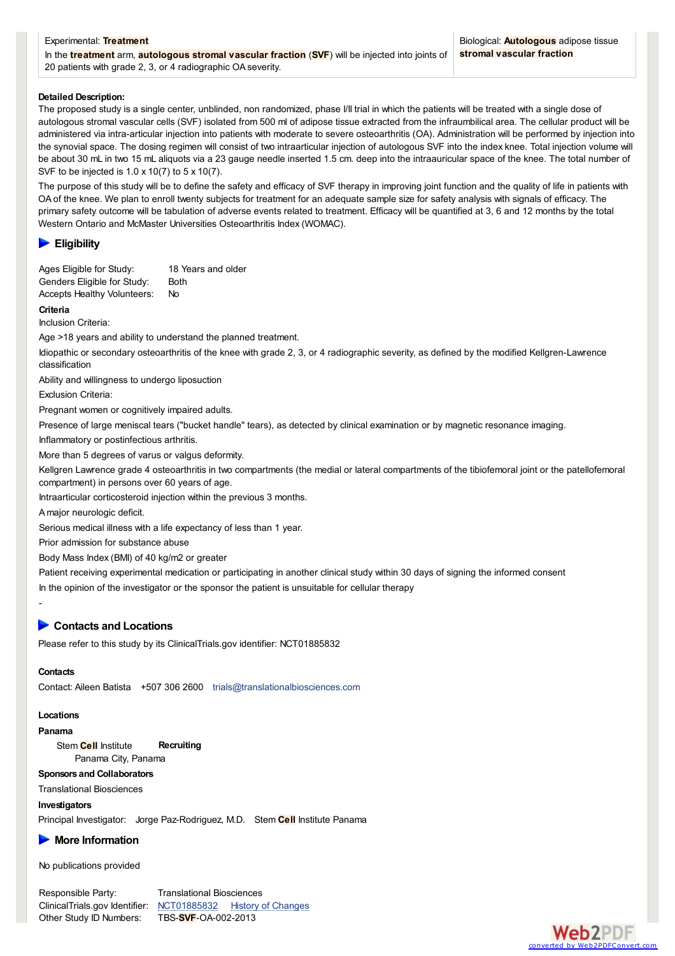### <span id="page-1-0"></span>Experimental: **Treatment** In the **treatment** arm, **autologous stromal vascular fraction** (**SVF**) will be injected into joints of 20 patients with grade 2, 3, or 4 radiographic OA severity.

### **Detailed Description:**

The proposed study is a single center, unblinded, non randomized, phase I/II trial in which the patients will be treated with a single dose of autologous stromal vascular cells (SVF) isolated from 500 ml of adipose tissue extracted from the infraumbilical area. The cellular product will be administered via intra-articular injection into patients with moderate to severe osteoarthritis (OA). Administration will be performed by injection into the synovial space. The dosing regimen will consist of two intraarticular injection of autologous SVF into the index knee. Total injection volume will be about 30 mL in two 15 mL aliquots via a 23 gauge needle inserted 1.5 cm. deep into the intraauricular space of the knee. The total number of SVF to be injected is 1.0 x 10(7) to 5 x 10(7).

The purpose of this study will be to define the safety and efficacy of SVF therapy in improving joint function and the quality of life in patients with OA of the knee. We plan to enroll twenty subjects for treatment for an adequate sample size for safety analysis with signals of efficacy. The primary safety outcome will be tabulation of adverse events related to treatment. Efficacy will be quantified at 3, 6 and 12 months by the total Western Ontario and McMaster Universities Osteoarthritis Index (WOMAC).

### **Eligibility**

Ages Eligible for Study: 18 Years and older Genders Eligible for Study: Both Accepts Healthy Volunteers: No

**Criteria**

Inclusion Criteria:

Age >18 years and ability to understand the planned treatment.

Idiopathic or secondary osteoarthritis of the knee with grade 2, 3, or 4 radiographic severity, as defined by the modified Kellgren-Lawrence classification

Ability and willingness to undergo liposuction

Exclusion Criteria:

Pregnant women or cognitively impaired adults.

Presence of large meniscal tears ("bucket handle" tears), as detected by clinical examination or by magnetic resonance imaging.

Inflammatory or postinfectious arthritis.

More than 5 degrees of varus or valgus deformity.

Kellgren Lawrence grade 4 osteoarthritis in two compartments (the medial or lateral compartments of the tibiofemoral joint or the patellofemoral compartment) in persons over 60 years of age.

Intraarticular corticosteroid injection within the previous 3 months.

A major neurologic deficit.

Serious medical illness with a life expectancy of less than 1 year.

Prior admission for substance abuse

Body Mass Index (BMI) of 40 kg/m2 or greater

Patient receiving experimental medication or participating in another clinical study within 30 days of signing the informed consent In the opinion of the investigator or the sponsor the patient is unsuitable for cellular therapy

### **Contacts and Locations**

Please refer to this study by its ClinicalTrials.gov identifier: NCT01885832

## **Contacts**

-

Contact: Aileen Batista +507 306 2600 [trials@translationalbiosciences.com](mailto:trials%40translationalbiosciences.com?subject=NCT01885832, TBS-SVF-OA-002-2013, Safety and Feasibility Study of Autologous Stromal Vascular Fraction (SVF) Cells for Treatment of Osteoarthritis)

## **Locations**

**Panama**

Stem **Cell** Institute **Recruiting** Panama City, Panama

## **Sponsors and Collaborators**

Translational Biosciences

## **Investigators**

Principal Investigator: Jorge Paz-Rodriguez, M.D. Stem **Cell** Institute Panama

# **More Information**

No publications provided

Responsible Party: Translational Biosciences Other Study ID Numbers: TBS-**SVF**-OA-002-2013

ClinicalTrials.gov Identifier: [NCT01885832](http://clinicaltrials.gov/show/NCT01885832) History of [Changes](http://www.clinicaltrials.gov/ct2/archive/NCT01885832)